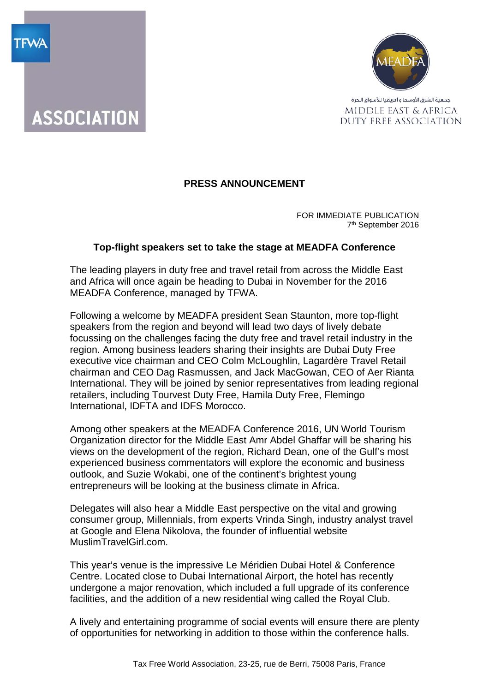



## **PRESS ANNOUNCEMENT**

FOR IMMEDIATE PUBLICATION 7th September 2016

## **Top-flight speakers set to take the stage at MEADFA Conference**

The leading players in duty free and travel retail from across the Middle East and Africa will once again be heading to Dubai in November for the 2016 MEADFA Conference, managed by TFWA.

Following a welcome by MEADFA president Sean Staunton, more top-flight speakers from the region and beyond will lead two days of lively debate focussing on the challenges facing the duty free and travel retail industry in the region. Among business leaders sharing their insights are Dubai Duty Free executive vice chairman and CEO Colm McLoughlin, Lagardère Travel Retail chairman and CEO [Dag Rasmussen,](http://www.tfwa.com/duty_free/2016-Speakers.1570.0.html#c18556) and Jack MacGowan, CEO of Aer Rianta International. They will be joined by senior representatives from leading regional retailers, including Tourvest Duty Free, Hamila Duty Free, Flemingo International, IDFTA and IDFS Morocco.

Among other speakers at the MEADFA Conference 2016, UN World Tourism Organization director for the Middle East Amr Abdel Ghaffar will be sharing his views on the development of the region, Richard Dean, one of the Gulf's most experienced business commentators will explore the economic and business outlook, and Suzie Wokabi, one of the continent's brightest young entrepreneurs will be looking at the business climate in Africa.

Delegates will also hear a Middle East perspective on the vital and growing consumer group, Millennials, from experts Vrinda Singh, industry analyst travel at Google and Elena Nikolova, the founder of influential website MuslimTravelGirl.com.

This year's venue is the impressive Le Méridien Dubai Hotel & Conference Centre. Located close to Dubai International Airport, the hotel has recently undergone a major renovation, which included a full upgrade of its conference facilities, and the addition of a new residential wing called the Royal Club.

A lively and entertaining programme of social events will ensure there are plenty of opportunities for networking in addition to those within the conference halls.